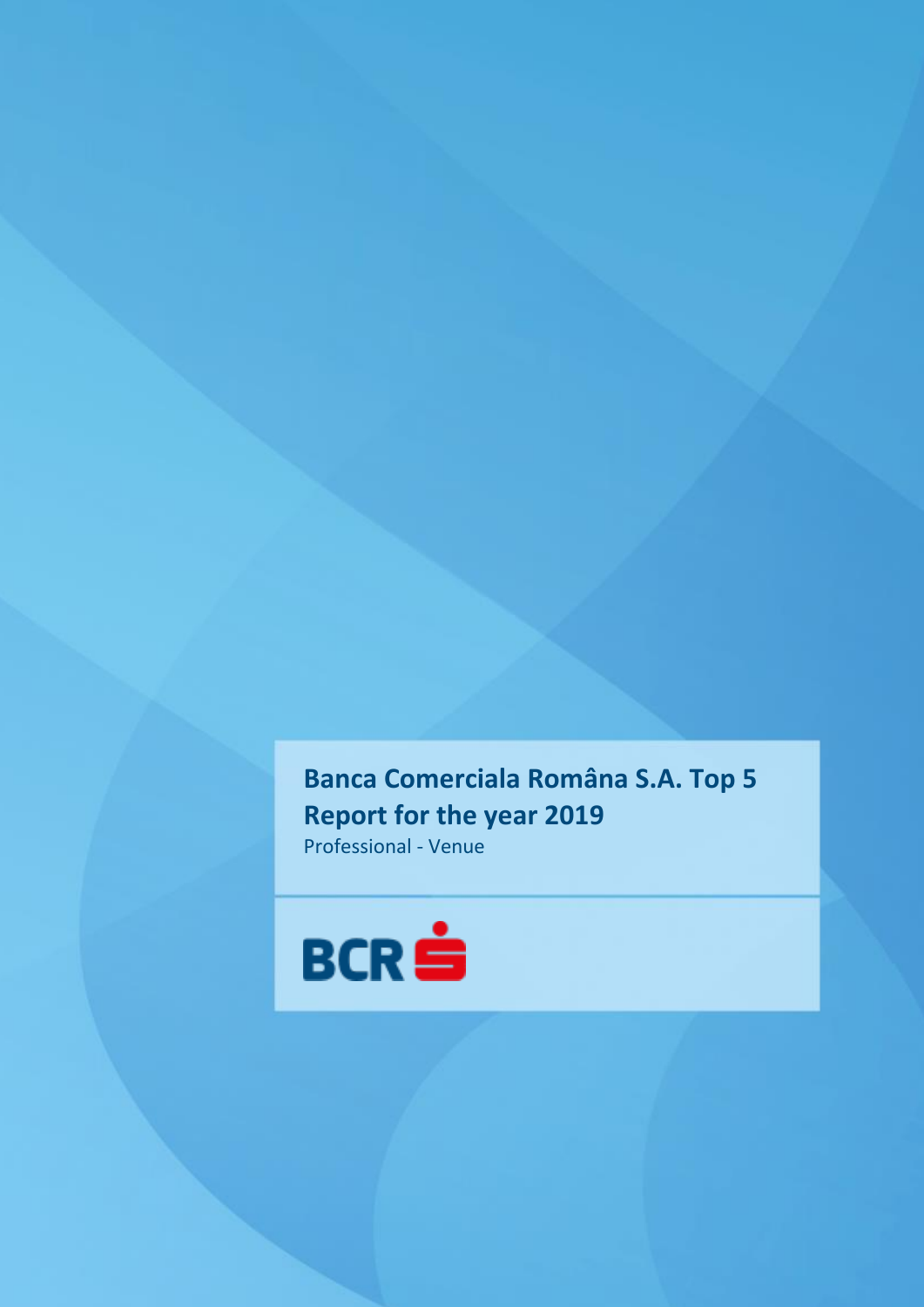**Banca Comerciala Româna S.A. Top 5 Report for the year 2019** Professional - Venue

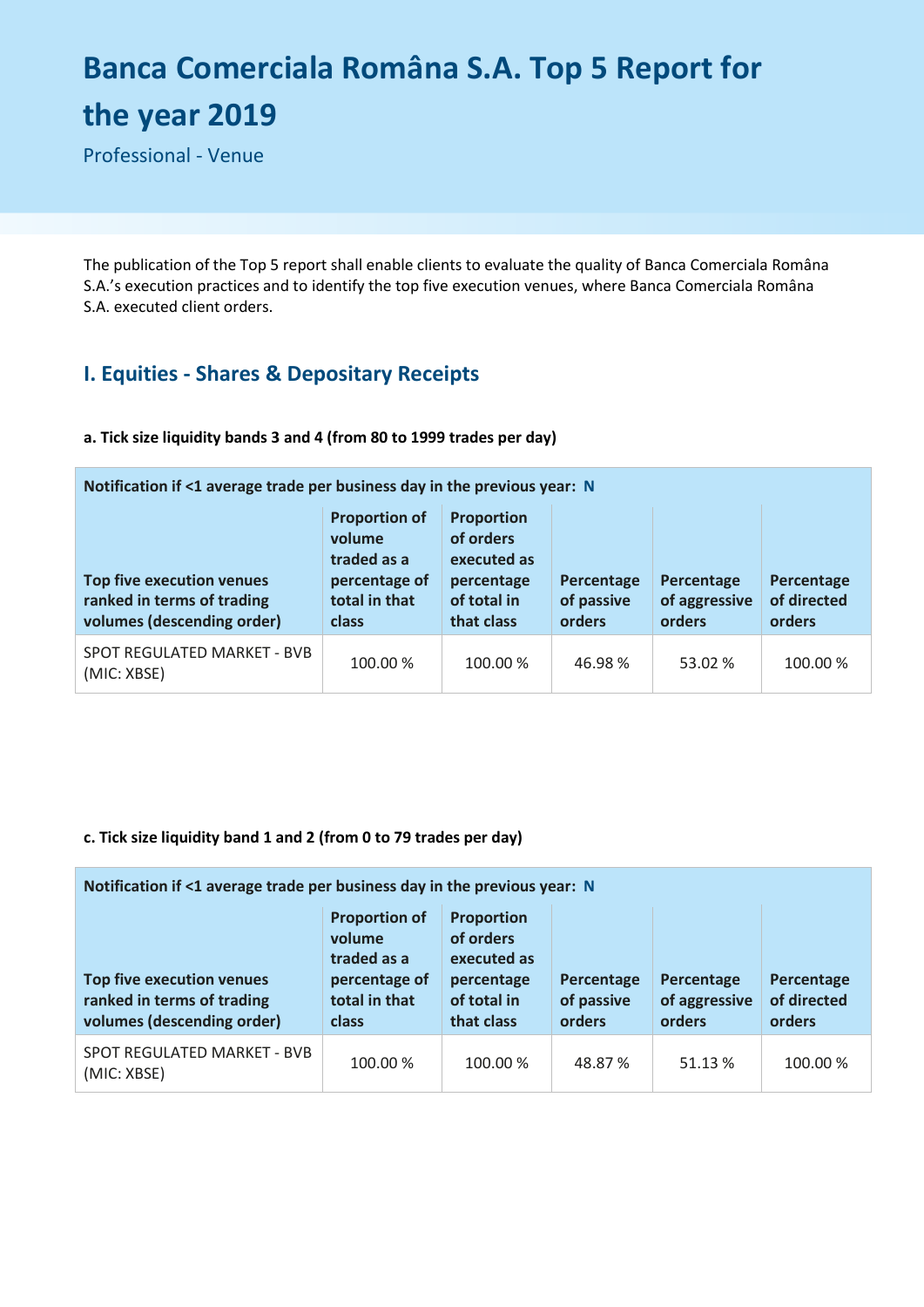# **Banca Comerciala Româna S.A. Top 5 Report for the year 2019**

Professional - Venue

The publication of the Top 5 report shall enable clients to evaluate the quality of Banca Comerciala Româna S.A.'s execution practices and to identify the top five execution venues, where Banca Comerciala Româna S.A. executed client orders.

# **I. Equities - Shares & Depositary Receipts**

## **a. Tick size liquidity bands 3 and 4 (from 80 to 1999 trades per day)**

| Notification if <1 average trade per business day in the previous year: N                    |                                                                                                 |                                                                                          |                                    |                                       |                                     |  |  |
|----------------------------------------------------------------------------------------------|-------------------------------------------------------------------------------------------------|------------------------------------------------------------------------------------------|------------------------------------|---------------------------------------|-------------------------------------|--|--|
| <b>Top five execution venues</b><br>ranked in terms of trading<br>volumes (descending order) | <b>Proportion of</b><br>volume<br>traded as a<br>percentage of<br>total in that<br><b>class</b> | <b>Proportion</b><br>of orders<br>executed as<br>percentage<br>of total in<br>that class | Percentage<br>of passive<br>orders | Percentage<br>of aggressive<br>orders | Percentage<br>of directed<br>orders |  |  |
| SPOT REGULATED MARKET - BVB<br>(MIC: XBSE)                                                   | 100.00 %                                                                                        | 100.00 %                                                                                 | 46.98%                             | 53.02 %                               | 100.00 %                            |  |  |

## **c. Tick size liquidity band 1 and 2 (from 0 to 79 trades per day)**

| Notification if $\leq 1$ average trade per business day in the previous year: N              |                                                                                          |                                                                                          |                                    |                                       |                                     |  |  |
|----------------------------------------------------------------------------------------------|------------------------------------------------------------------------------------------|------------------------------------------------------------------------------------------|------------------------------------|---------------------------------------|-------------------------------------|--|--|
| <b>Top five execution venues</b><br>ranked in terms of trading<br>volumes (descending order) | <b>Proportion of</b><br>volume<br>traded as a<br>percentage of<br>total in that<br>class | <b>Proportion</b><br>of orders<br>executed as<br>percentage<br>of total in<br>that class | Percentage<br>of passive<br>orders | Percentage<br>of aggressive<br>orders | Percentage<br>of directed<br>orders |  |  |
| SPOT REGULATED MARKET - BVB<br>(MIC: XBSE)                                                   | 100.00 %                                                                                 | 100.00 %                                                                                 | 48.87 %                            | 51.13 %                               | 100.00 %                            |  |  |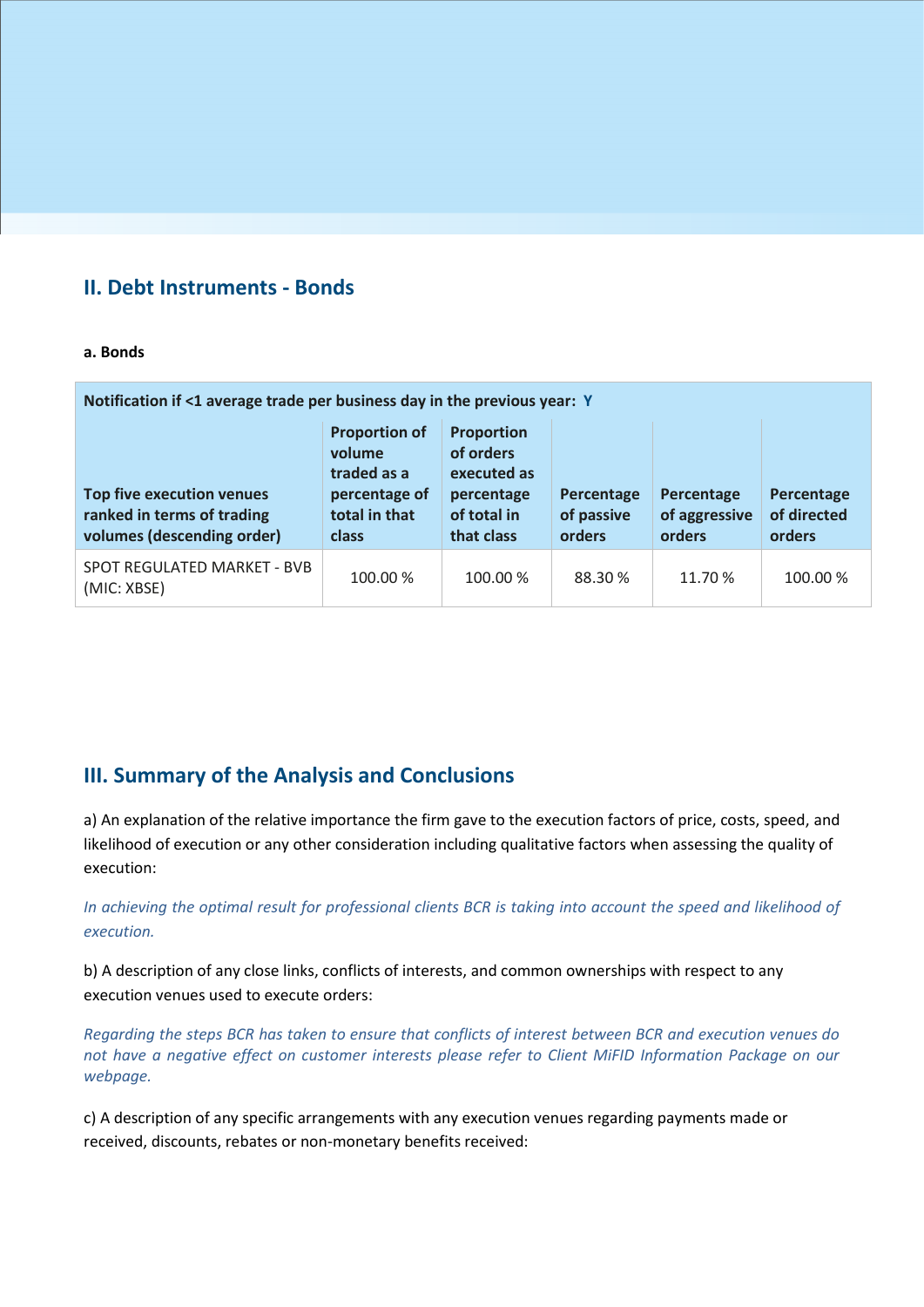## **II. Debt Instruments - Bonds**

### **a. Bonds**

| Notification if <1 average trade per business day in the previous year: Y                    |                                                                                          |                                                                                          |                                    |                                       |                                     |  |  |
|----------------------------------------------------------------------------------------------|------------------------------------------------------------------------------------------|------------------------------------------------------------------------------------------|------------------------------------|---------------------------------------|-------------------------------------|--|--|
| <b>Top five execution venues</b><br>ranked in terms of trading<br>volumes (descending order) | <b>Proportion of</b><br>volume<br>traded as a<br>percentage of<br>total in that<br>class | <b>Proportion</b><br>of orders<br>executed as<br>percentage<br>of total in<br>that class | Percentage<br>of passive<br>orders | Percentage<br>of aggressive<br>orders | Percentage<br>of directed<br>orders |  |  |
| SPOT REGULATED MARKET - BVB<br>(MIC: XBSE)                                                   | 100.00 %                                                                                 | 100.00 %                                                                                 | 88.30 %                            | 11.70 %                               | 100.00 %                            |  |  |

## **III. Summary of the Analysis and Conclusions**

a) An explanation of the relative importance the firm gave to the execution factors of price, costs, speed, and likelihood of execution or any other consideration including qualitative factors when assessing the quality of execution:

*In achieving the optimal result for professional clients BCR is taking into account the speed and likelihood of execution.*

b) A description of any close links, conflicts of interests, and common ownerships with respect to any execution venues used to execute orders:

*Regarding the steps BCR has taken to ensure that conflicts of interest between BCR and execution venues do not have a negative effect on customer interests please refer to Client MiFID Information Package on our webpage.* 

c) A description of any specific arrangements with any execution venues regarding payments made or received, discounts, rebates or non-monetary benefits received: